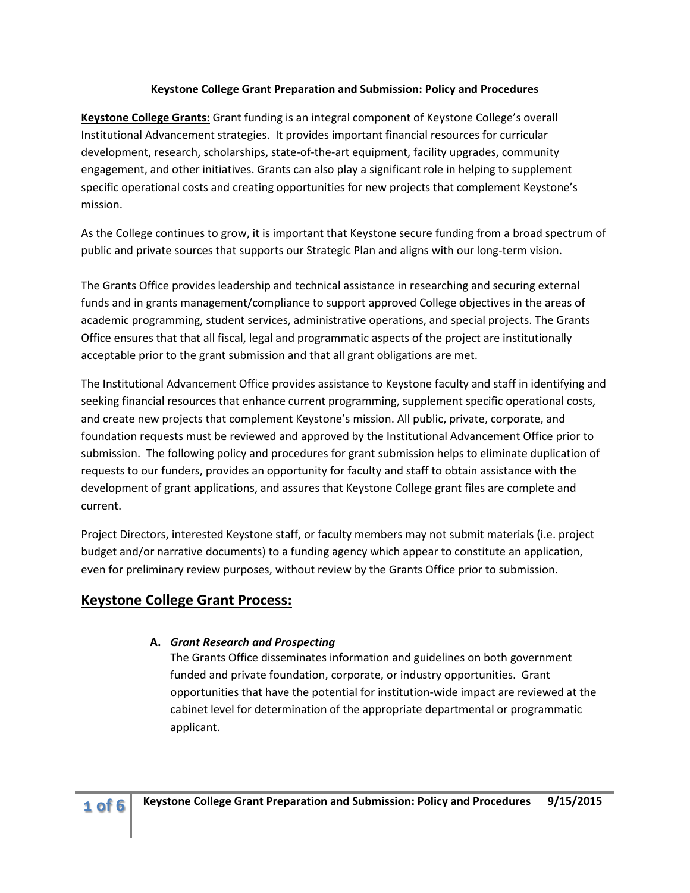#### **Keystone College Grant Preparation and Submission: Policy and Procedures**

**Keystone College Grants:** Grant funding is an integral component of Keystone College's overall Institutional Advancement strategies. It provides important financial resources for curricular development, research, scholarships, state-of-the-art equipment, facility upgrades, community engagement, and other initiatives. Grants can also play a significant role in helping to supplement specific operational costs and creating opportunities for new projects that complement Keystone's mission.

As the College continues to grow, it is important that Keystone secure funding from a broad spectrum of public and private sources that supports our Strategic Plan and aligns with our long-term vision.

The Grants Office provides leadership and technical assistance in researching and securing external funds and in grants management/compliance to support approved College objectives in the areas of academic programming, student services, administrative operations, and special projects. The Grants Office ensures that that all fiscal, legal and programmatic aspects of the project are institutionally acceptable prior to the grant submission and that all grant obligations are met.

The Institutional Advancement Office provides assistance to Keystone faculty and staff in identifying and seeking financial resources that enhance current programming, supplement specific operational costs, and create new projects that complement Keystone's mission. All public, private, corporate, and foundation requests must be reviewed and approved by the Institutional Advancement Office prior to submission. The following policy and procedures for grant submission helps to eliminate duplication of requests to our funders, provides an opportunity for faculty and staff to obtain assistance with the development of grant applications, and assures that Keystone College grant files are complete and current.

Project Directors, interested Keystone staff, or faculty members may not submit materials (i.e. project budget and/or narrative documents) to a funding agency which appear to constitute an application, even for preliminary review purposes, without review by the Grants Office prior to submission.

# **Keystone College Grant Process:**

#### **A.** *Grant Research and Prospecting*

The Grants Office disseminates information and guidelines on both government funded and private foundation, corporate, or industry opportunities. Grant opportunities that have the potential for institution-wide impact are reviewed at the cabinet level for determination of the appropriate departmental or programmatic applicant.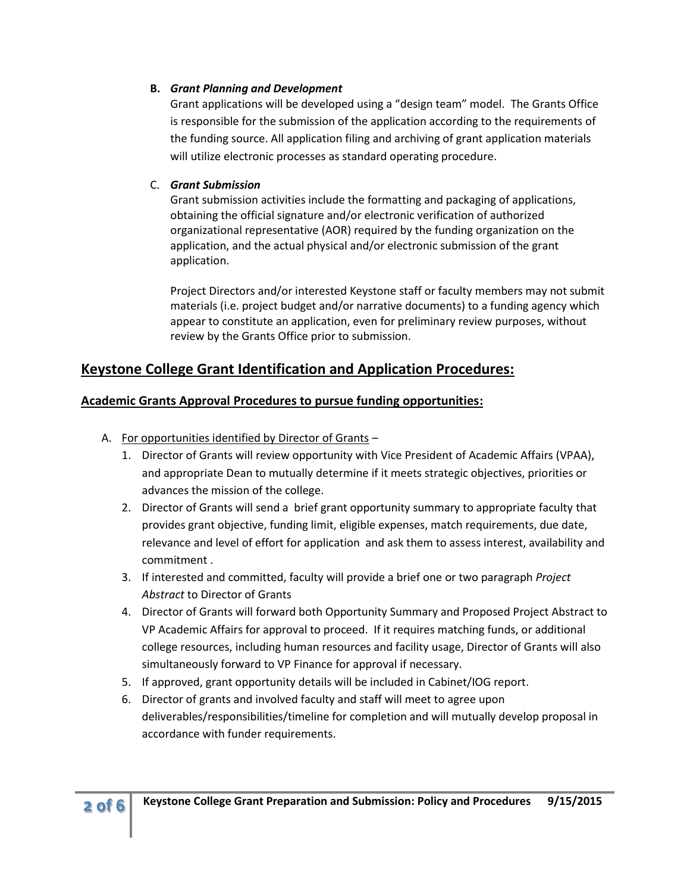#### **B.** *Grant Planning and Development*

Grant applications will be developed using a "design team" model. The Grants Office is responsible for the submission of the application according to the requirements of the funding source. All application filing and archiving of grant application materials will utilize electronic processes as standard operating procedure.

### C. *Grant Submission*

Grant submission activities include the formatting and packaging of applications, obtaining the official signature and/or electronic verification of authorized organizational representative (AOR) required by the funding organization on the application, and the actual physical and/or electronic submission of the grant application.

Project Directors and/or interested Keystone staff or faculty members may not submit materials (i.e. project budget and/or narrative documents) to a funding agency which appear to constitute an application, even for preliminary review purposes, without review by the Grants Office prior to submission.

# **Keystone College Grant Identification and Application Procedures:**

### **Academic Grants Approval Procedures to pursue funding opportunities:**

- A. For opportunities identified by Director of Grants
	- 1. Director of Grants will review opportunity with Vice President of Academic Affairs (VPAA), and appropriate Dean to mutually determine if it meets strategic objectives, priorities or advances the mission of the college.
	- 2. Director of Grants will send a brief grant opportunity summary to appropriate faculty that provides grant objective, funding limit, eligible expenses, match requirements, due date, relevance and level of effort for application and ask them to assess interest, availability and commitment .
	- 3. If interested and committed, faculty will provide a brief one or two paragraph *Project Abstract* to Director of Grants
	- 4. Director of Grants will forward both Opportunity Summary and Proposed Project Abstract to VP Academic Affairs for approval to proceed. If it requires matching funds, or additional college resources, including human resources and facility usage, Director of Grants will also simultaneously forward to VP Finance for approval if necessary.
	- 5. If approved, grant opportunity details will be included in Cabinet/IOG report.
	- 6. Director of grants and involved faculty and staff will meet to agree upon deliverables/responsibilities/timeline for completion and will mutually develop proposal in accordance with funder requirements.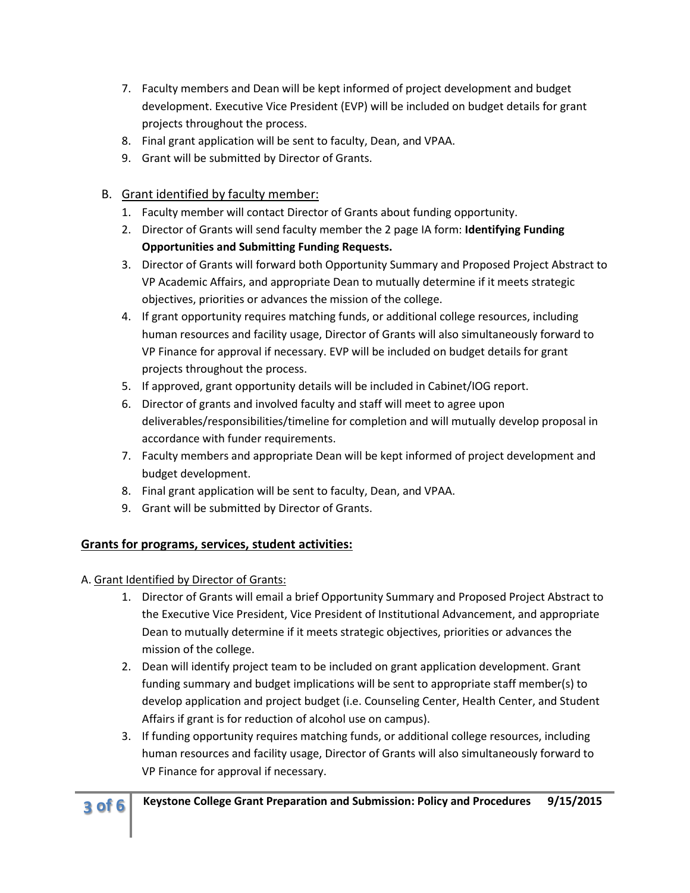- 7. Faculty members and Dean will be kept informed of project development and budget development. Executive Vice President (EVP) will be included on budget details for grant projects throughout the process.
- 8. Final grant application will be sent to faculty, Dean, and VPAA.
- 9. Grant will be submitted by Director of Grants.

# B. Grant identified by faculty member:

- 1. Faculty member will contact Director of Grants about funding opportunity.
- 2. Director of Grants will send faculty member the 2 page IA form: **Identifying Funding Opportunities and Submitting Funding Requests.**
- 3. Director of Grants will forward both Opportunity Summary and Proposed Project Abstract to VP Academic Affairs, and appropriate Dean to mutually determine if it meets strategic objectives, priorities or advances the mission of the college.
- 4. If grant opportunity requires matching funds, or additional college resources, including human resources and facility usage, Director of Grants will also simultaneously forward to VP Finance for approval if necessary. EVP will be included on budget details for grant projects throughout the process.
- 5. If approved, grant opportunity details will be included in Cabinet/IOG report.
- 6. Director of grants and involved faculty and staff will meet to agree upon deliverables/responsibilities/timeline for completion and will mutually develop proposal in accordance with funder requirements.
- 7. Faculty members and appropriate Dean will be kept informed of project development and budget development.
- 8. Final grant application will be sent to faculty, Dean, and VPAA.
- 9. Grant will be submitted by Director of Grants.

# **Grants for programs, services, student activities:**

A. Grant Identified by Director of Grants:

- 1. Director of Grants will email a brief Opportunity Summary and Proposed Project Abstract to the Executive Vice President, Vice President of Institutional Advancement, and appropriate Dean to mutually determine if it meets strategic objectives, priorities or advances the mission of the college.
- 2. Dean will identify project team to be included on grant application development. Grant funding summary and budget implications will be sent to appropriate staff member(s) to develop application and project budget (i.e. Counseling Center, Health Center, and Student Affairs if grant is for reduction of alcohol use on campus).
- 3. If funding opportunity requires matching funds, or additional college resources, including human resources and facility usage, Director of Grants will also simultaneously forward to VP Finance for approval if necessary.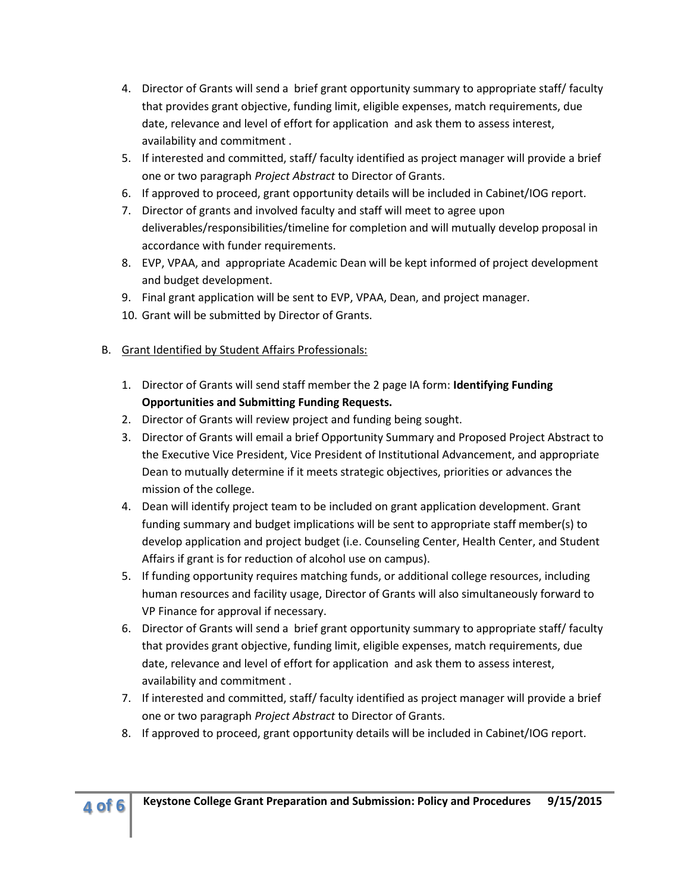- 4. Director of Grants will send a brief grant opportunity summary to appropriate staff/ faculty that provides grant objective, funding limit, eligible expenses, match requirements, due date, relevance and level of effort for application and ask them to assess interest, availability and commitment .
- 5. If interested and committed, staff/ faculty identified as project manager will provide a brief one or two paragraph *Project Abstract* to Director of Grants.
- 6. If approved to proceed, grant opportunity details will be included in Cabinet/IOG report.
- 7. Director of grants and involved faculty and staff will meet to agree upon deliverables/responsibilities/timeline for completion and will mutually develop proposal in accordance with funder requirements.
- 8. EVP, VPAA, and appropriate Academic Dean will be kept informed of project development and budget development.
- 9. Final grant application will be sent to EVP, VPAA, Dean, and project manager.
- 10. Grant will be submitted by Director of Grants.

### B. Grant Identified by Student Affairs Professionals:

- 1. Director of Grants will send staff member the 2 page IA form: **Identifying Funding Opportunities and Submitting Funding Requests.**
- 2. Director of Grants will review project and funding being sought.
- 3. Director of Grants will email a brief Opportunity Summary and Proposed Project Abstract to the Executive Vice President, Vice President of Institutional Advancement, and appropriate Dean to mutually determine if it meets strategic objectives, priorities or advances the mission of the college.
- 4. Dean will identify project team to be included on grant application development. Grant funding summary and budget implications will be sent to appropriate staff member(s) to develop application and project budget (i.e. Counseling Center, Health Center, and Student Affairs if grant is for reduction of alcohol use on campus).
- 5. If funding opportunity requires matching funds, or additional college resources, including human resources and facility usage, Director of Grants will also simultaneously forward to VP Finance for approval if necessary.
- 6. Director of Grants will send a brief grant opportunity summary to appropriate staff/ faculty that provides grant objective, funding limit, eligible expenses, match requirements, due date, relevance and level of effort for application and ask them to assess interest, availability and commitment .
- 7. If interested and committed, staff/ faculty identified as project manager will provide a brief one or two paragraph *Project Abstract* to Director of Grants.
- 8. If approved to proceed, grant opportunity details will be included in Cabinet/IOG report.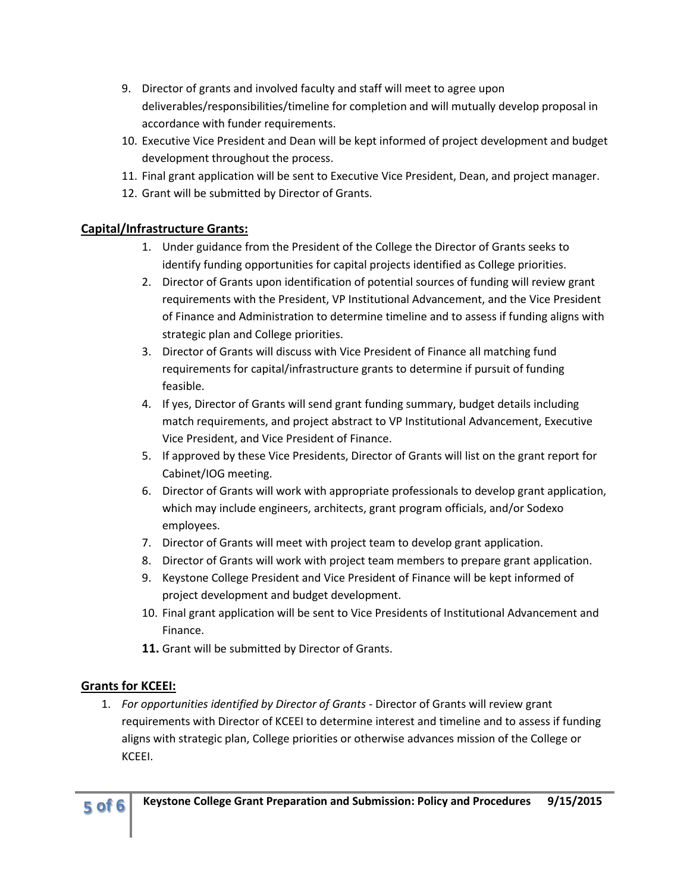- 9. Director of grants and involved faculty and staff will meet to agree upon deliverables/responsibilities/timeline for completion and will mutually develop proposal in accordance with funder requirements.
- 10. Executive Vice President and Dean will be kept informed of project development and budget development throughout the process.
- 11. Final grant application will be sent to Executive Vice President, Dean, and project manager.
- 12. Grant will be submitted by Director of Grants.

### **Capital/Infrastructure Grants:**

- 1. Under guidance from the President of the College the Director of Grants seeks to identify funding opportunities for capital projects identified as College priorities.
- 2. Director of Grants upon identification of potential sources of funding will review grant requirements with the President, VP Institutional Advancement, and the Vice President of Finance and Administration to determine timeline and to assess if funding aligns with strategic plan and College priorities.
- 3. Director of Grants will discuss with Vice President of Finance all matching fund requirements for capital/infrastructure grants to determine if pursuit of funding feasible.
- 4. If yes, Director of Grants will send grant funding summary, budget details including match requirements, and project abstract to VP Institutional Advancement, Executive Vice President, and Vice President of Finance.
- 5. If approved by these Vice Presidents, Director of Grants will list on the grant report for Cabinet/IOG meeting.
- 6. Director of Grants will work with appropriate professionals to develop grant application, which may include engineers, architects, grant program officials, and/or Sodexo employees.
- 7. Director of Grants will meet with project team to develop grant application.
- 8. Director of Grants will work with project team members to prepare grant application.
- 9. Keystone College President and Vice President of Finance will be kept informed of project development and budget development.
- 10. Final grant application will be sent to Vice Presidents of Institutional Advancement and Finance.
- **11.** Grant will be submitted by Director of Grants.

# **Grants for KCEEI:**

1. *For opportunities identified by Director of Grants* - Director of Grants will review grant requirements with Director of KCEEI to determine interest and timeline and to assess if funding aligns with strategic plan, College priorities or otherwise advances mission of the College or KCEEI.